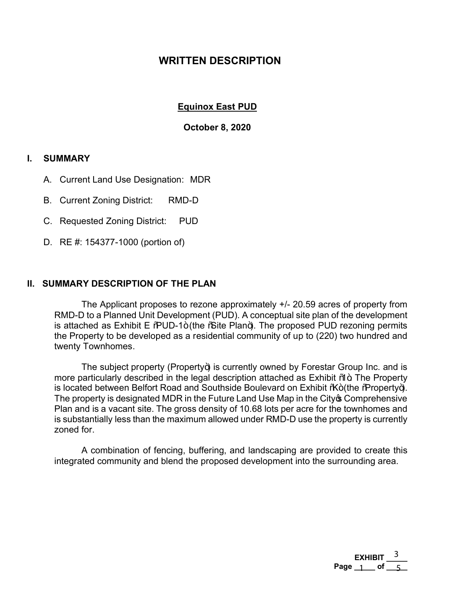# **WRITTEN DESCRIPTION**

### **Equinox East PUD**

#### **October 8, 2020**

### **I. SUMMARY**

- A. Current Land Use Designation: MDR
- B. Current Zoning District: RMD-D
- C. Requested Zoning District: PUD
- D. RE #: 154377-1000 (portion of)

#### **II. SUMMARY DESCRIPTION OF THE PLAN**

 The Applicant proposes to rezone approximately +/- 20.59 acres of property from RMD-D to a Planned Unit Development (PUD). A conceptual site plan of the development is attached as Exhibit E  $%$ UD-1+(the  $%$ ite Plan+). The proposed PUD rezoning permits the Property to be developed as a residential community of up to (220) two hundred and twenty Townhomes.

The subject property (Property+) is currently owned by Forestar Group Inc. and is more particularly described in the legal description attached as Exhibit  $\%$ <sub>ot</sub>. The Property is located between Belfort Road and Southside Boulevard on Exhibit %+ (the % roperty+). The property is designated MDR in the Future Land Use Map in the City of Comprehensive Plan and is a vacant site. The gross density of 10.68 lots per acre for the townhomes and is substantially less than the maximum allowed under RMD-D use the property is currently zoned for.

 A combination of fencing, buffering, and landscaping are provided to create this integrated community and blend the proposed development into the surrounding area.

> **EXHIBIT \_\_\_\_\_**  Page 1 of 5 3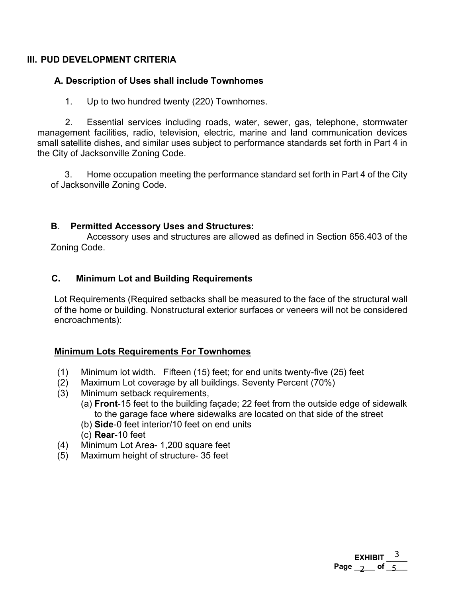## **III. PUD DEVELOPMENT CRITERIA**

## **A. Description of Uses shall include Townhomes**

1. Up to two hundred twenty (220) Townhomes.

2. Essential services including roads, water, sewer, gas, telephone, stormwater management facilities, radio, television, electric, marine and land communication devices small satellite dishes, and similar uses subject to performance standards set forth in Part 4 in the City of Jacksonville Zoning Code.

3. Home occupation meeting the performance standard set forth in Part 4 of the City of Jacksonville Zoning Code.

### **B**. **Permitted Accessory Uses and Structures:**

 Accessory uses and structures are allowed as defined in Section 656.403 of the Zoning Code.

## **C. Minimum Lot and Building Requirements**

Lot Requirements (Required setbacks shall be measured to the face of the structural wall of the home or building. Nonstructural exterior surfaces or veneers will not be considered encroachments):

### **Minimum Lots Requirements For Townhomes**

- (1) Minimum lot width. Fifteen (15) feet; for end units twenty-five (25) feet
- (2) Maximum Lot coverage by all buildings. Seventy Percent (70%)
- (3) Minimum setback requirements,
	- (a) **Front**-15 feet to the building façade; 22 feet from the outside edge of sidewalk to the garage face where sidewalks are located on that side of the street

**EXHIBIT \_\_\_\_\_**  Page  $\frac{2}{5}$  of  $\frac{5}{5}$ 

3

- (b) **Side**-0 feet interior/10 feet on end units
- (c) **Rear**-10 feet
- (4) Minimum Lot Area- 1,200 square feet
- (5) Maximum height of structure- 35 feet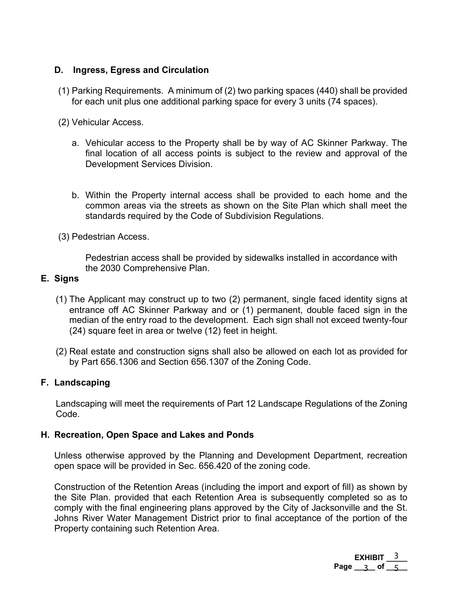## **D. Ingress, Egress and Circulation**

- (1) Parking Requirements. A minimum of (2) two parking spaces (440) shall be provided for each unit plus one additional parking space for every 3 units (74 spaces).
- (2) Vehicular Access.
	- a. Vehicular access to the Property shall be by way of AC Skinner Parkway. The final location of all access points is subject to the review and approval of the Development Services Division.
	- b. Within the Property internal access shall be provided to each home and the common areas via the streets as shown on the Site Plan which shall meet the standards required by the Code of Subdivision Regulations.
- (3) Pedestrian Access.

Pedestrian access shall be provided by sidewalks installed in accordance with the 2030 Comprehensive Plan.

### **E. Signs**

- (1) The Applicant may construct up to two (2) permanent, single faced identity signs at entrance off AC Skinner Parkway and or (1) permanent, double faced sign in the median of the entry road to the development. Each sign shall not exceed twenty-four (24) square feet in area or twelve (12) feet in height.
- (2) Real estate and construction signs shall also be allowed on each lot as provided for by Part 656.1306 and Section 656.1307 of the Zoning Code.

### **F. Landscaping**

Landscaping will meet the requirements of Part 12 Landscape Regulations of the Zoning Code.

### **H. Recreation, Open Space and Lakes and Ponds**

Unless otherwise approved by the Planning and Development Department, recreation open space will be provided in Sec. 656.420 of the zoning code.

Construction of the Retention Areas (including the import and export of fill) as shown by the Site Plan. provided that each Retention Area is subsequently completed so as to comply with the final engineering plans approved by the City of Jacksonville and the St. Johns River Water Management District prior to final acceptance of the portion of the Property containing such Retention Area.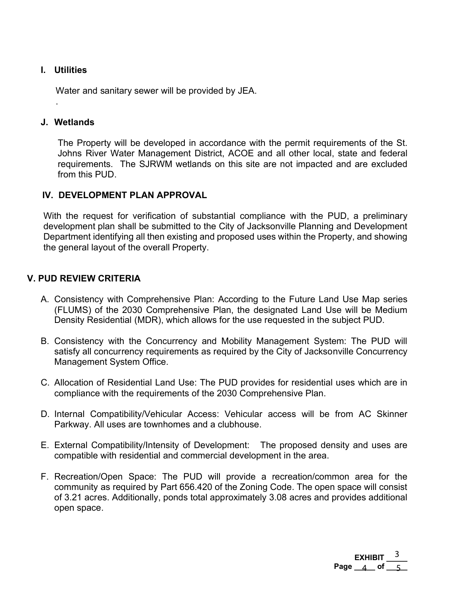### **I. Utilities**

.

Water and sanitary sewer will be provided by JEA.

#### **J. Wetlands**

The Property will be developed in accordance with the permit requirements of the St. Johns River Water Management District, ACOE and all other local, state and federal requirements. The SJRWM wetlands on this site are not impacted and are excluded from this PUD.

### **IV. DEVELOPMENT PLAN APPROVAL**

With the request for verification of substantial compliance with the PUD, a preliminary development plan shall be submitted to the City of Jacksonville Planning and Development Department identifying all then existing and proposed uses within the Property, and showing the general layout of the overall Property.

### **V. PUD REVIEW CRITERIA**

- A. Consistency with Comprehensive Plan: According to the Future Land Use Map series (FLUMS) of the 2030 Comprehensive Plan, the designated Land Use will be Medium Density Residential (MDR), which allows for the use requested in the subject PUD.
- B. Consistency with the Concurrency and Mobility Management System: The PUD will satisfy all concurrency requirements as required by the City of Jacksonville Concurrency Management System Office.
- C. Allocation of Residential Land Use: The PUD provides for residential uses which are in compliance with the requirements of the 2030 Comprehensive Plan.
- D. Internal Compatibility/Vehicular Access: Vehicular access will be from AC Skinner Parkway. All uses are townhomes and a clubhouse.
- E. External Compatibility/Intensity of Development: The proposed density and uses are compatible with residential and commercial development in the area.
- F. Recreation/Open Space: The PUD will provide a recreation/common area for the community as required by Part 656.420 of the Zoning Code. The open space will consist of 3.21 acres. Additionally, ponds total approximately 3.08 acres and provides additional open space.